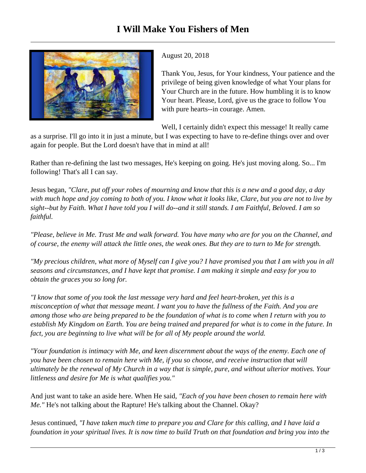

August 20, 2018

Thank You, Jesus, for Your kindness, Your patience and the privilege of being given knowledge of what Your plans for Your Church are in the future. How humbling it is to know Your heart. Please, Lord, give us the grace to follow You with pure hearts--in courage. Amen.

Well, I certainly didn't expect this message! It really came

as a surprise. I'll go into it in just a minute, but I was expecting to have to re-define things over and over again for people. But the Lord doesn't have that in mind at all!

Rather than re-defining the last two messages, He's keeping on going. He's just moving along. So... I'm following! That's all I can say.

Jesus began, *"Clare, put off your robes of mourning and know that this is a new and a good day, a day with much hope and joy coming to both of you. I know what it looks like, Clare, but you are not to live by sight--but by Faith. What I have told you I will do--and it still stands. I am Faithful, Beloved. I am so faithful.* 

*"Please, believe in Me. Trust Me and walk forward. You have many who are for you on the Channel, and of course, the enemy will attack the little ones, the weak ones. But they are to turn to Me for strength.* 

*"My precious children, what more of Myself can I give you? I have promised you that I am with you in all seasons and circumstances, and I have kept that promise. I am making it simple and easy for you to obtain the graces you so long for.* 

*"I know that some of you took the last message very hard and feel heart-broken, yet this is a misconception of what that message meant. I want you to have the fullness of the Faith. And you are among those who are being prepared to be the foundation of what is to come when I return with you to establish My Kingdom on Earth. You are being trained and prepared for what is to come in the future. In fact, you are beginning to live what will be for all of My people around the world.* 

*"Your foundation is intimacy with Me, and keen discernment about the ways of the enemy. Each one of you have been chosen to remain here with Me, if you so choose, and receive instruction that will ultimately be the renewal of My Church in a way that is simple, pure, and without ulterior motives. Your littleness and desire for Me is what qualifies you."*

And just want to take an aside here. When He said*, "Each of you have been chosen to remain here with Me."* He's not talking about the Rapture! He's talking about the Channel. Okay?

Jesus continued, *"I have taken much time to prepare you and Clare for this calling, and I have laid a foundation in your spiritual lives. It is now time to build Truth on that foundation and bring you into the*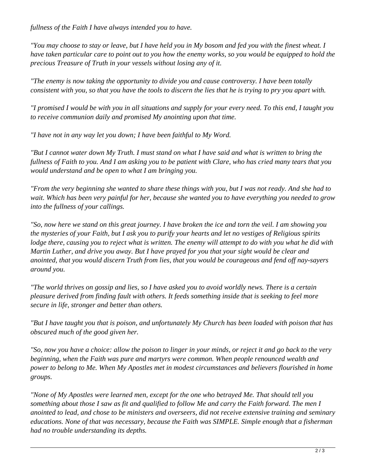*fullness of the Faith I have always intended you to have.* 

*"You may choose to stay or leave, but I have held you in My bosom and fed you with the finest wheat. I have taken particular care to point out to you how the enemy works, so you would be equipped to hold the precious Treasure of Truth in your vessels without losing any of it.*

*"The enemy is now taking the opportunity to divide you and cause controversy. I have been totally consistent with you, so that you have the tools to discern the lies that he is trying to pry you apart with.* 

*"I promised I would be with you in all situations and supply for your every need. To this end, I taught you to receive communion daily and promised My anointing upon that time.* 

*"I have not in any way let you down; I have been faithful to My Word.* 

*"But I cannot water down My Truth. I must stand on what I have said and what is written to bring the fullness of Faith to you. And I am asking you to be patient with Clare, who has cried many tears that you would understand and be open to what I am bringing you.*

*"From the very beginning she wanted to share these things with you, but I was not ready. And she had to wait. Which has been very painful for her, because she wanted you to have everything you needed to grow into the fullness of your callings.*

*"So, now here we stand on this great journey. I have broken the ice and torn the veil. I am showing you the mysteries of your Faith, but I ask you to purify your hearts and let no vestiges of Religious spirits lodge there, causing you to reject what is written. The enemy will attempt to do with you what he did with Martin Luther, and drive you away. But I have prayed for you that your sight would be clear and anointed, that you would discern Truth from lies, that you would be courageous and fend off nay-sayers around you.* 

*"The world thrives on gossip and lies, so I have asked you to avoid worldly news. There is a certain pleasure derived from finding fault with others. It feeds something inside that is seeking to feel more secure in life, stronger and better than others.* 

*"But I have taught you that is poison, and unfortunately My Church has been loaded with poison that has obscured much of the good given her.* 

*"So, now you have a choice: allow the poison to linger in your minds, or reject it and go back to the very beginning, when the Faith was pure and martyrs were common. When people renounced wealth and power to belong to Me. When My Apostles met in modest circumstances and believers flourished in home groups.*

*"None of My Apostles were learned men, except for the one who betrayed Me. That should tell you something about those I saw as fit and qualified to follow Me and carry the Faith forward. The men I anointed to lead, and chose to be ministers and overseers, did not receive extensive training and seminary educations. None of that was necessary, because the Faith was SIMPLE. Simple enough that a fisherman had no trouble understanding its depths.*